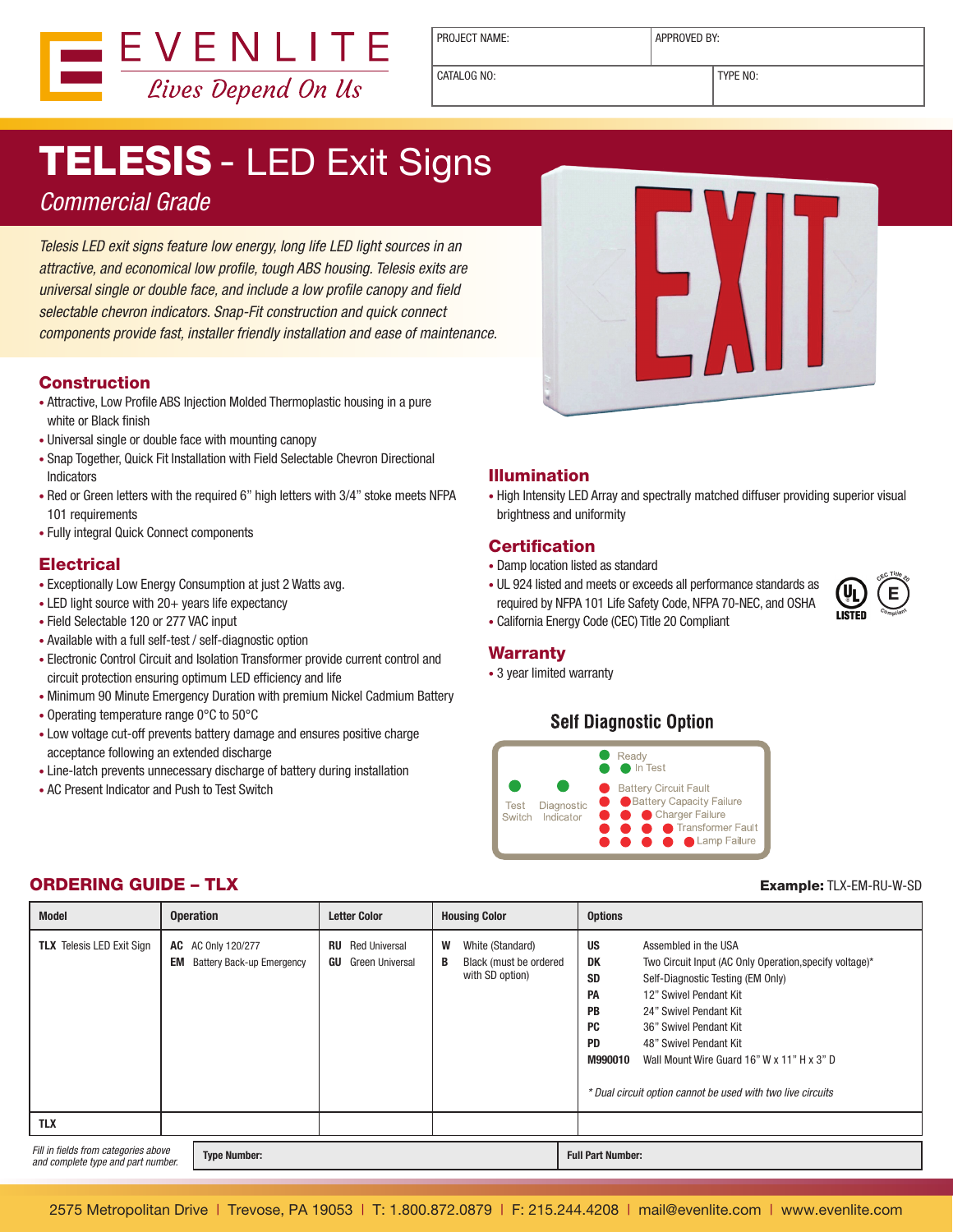

PROJECT NAME:  $\vert$  APPROVED BY:

CATALOG NO: TYPE NO:

# **TELESIS - LED Exit Signs**

### Commercial Grade

Telesis LED exit signs feature low energy, long life LED light sources in an attractive, and economical low profile, tough ABS housing. Telesis exits are universal single or double face, and include a low profile canopy and field selectable chevron indicators. Snap-Fit construction and quick connect components provide fast, installer friendly installation and ease of maintenance.

#### Construction

- Attractive, Low Profile ABS Injection Molded Thermoplastic housing in a pure white or Black finish
- Universal single or double face with mounting canopy
- Snap Together, Quick Fit Installation with Field Selectable Chevron Directional Indicators
- Red or Green letters with the required 6" high letters with 3/4" stoke meets NFPA 101 requirements
- • Fully integral Quick Connect components

#### **Electrical**

- Exceptionally Low Energy Consumption at just 2 Watts avg.
- $\bullet$  LED light source with 20+ years life expectancy
- Field Selectable 120 or 277 VAC input
- Available with a full self-test / self-diagnostic option
- • Electronic Control Circuit and Isolation Transformer provide current control and circuit protection ensuring optimum LED efficiency and life
- Minimum 90 Minute Emergency Duration with premium Nickel Cadmium Battery
- • Operating temperature range 0°C to 50°C
- Low voltage cut-off prevents battery damage and ensures positive charge acceptance following an extended discharge
- Line-latch prevents unnecessary discharge of battery during installation
- AC Present Indicator and Push to Test Switch



#### Illumination

• High Intensity LED Array and spectrally matched diffuser providing superior visual brightness and uniformity

#### **Certification**

- • Damp location listed as standard
- UL 924 listed and meets or exceeds all performance standards as required by NFPA 101 Life Safety Code, NFPA 70-NEC, and OSHA



• California Energy Code (CEC) Title 20 Compliant

#### **Warranty**

• 3 year limited warranty

#### **Self Diagnostic Option**



| <b>Model</b>                                                                                      | <b>Operation</b>                                                    | <b>Letter Color</b>                                 | <b>Housing Color</b>                                                    | <b>Options</b>                                                                                                                                                                                                                                                                                                                                                                                                                    |
|---------------------------------------------------------------------------------------------------|---------------------------------------------------------------------|-----------------------------------------------------|-------------------------------------------------------------------------|-----------------------------------------------------------------------------------------------------------------------------------------------------------------------------------------------------------------------------------------------------------------------------------------------------------------------------------------------------------------------------------------------------------------------------------|
| <b>TLX</b> Telesis LED Exit Sign                                                                  | <b>AC</b> AC Only 120/277<br>EM<br><b>Battery Back-up Emergency</b> | <b>Red Universal</b><br>RU<br>GU<br>Green Universal | W<br>White (Standard)<br>Black (must be ordered<br>B<br>with SD option) | <b>US</b><br>Assembled in the USA<br>DK<br>Two Circuit Input (AC Only Operation, specify voltage)*<br><b>SD</b><br>Self-Diagnostic Testing (EM Only)<br>PA<br>12" Swivel Pendant Kit<br><b>PB</b><br>24" Swivel Pendant Kit<br><b>PC</b><br>36" Swivel Pendant Kit<br><b>PD</b><br>48" Swivel Pendant Kit<br>M990010<br>Wall Mount Wire Guard 16" W x 11" H x 3" D<br>* Dual circuit option cannot be used with two live circuits |
| <b>TLX</b>                                                                                        |                                                                     |                                                     |                                                                         |                                                                                                                                                                                                                                                                                                                                                                                                                                   |
| Fill in fields from categories above<br><b>Type Number:</b><br>and complete type and part number. |                                                                     |                                                     |                                                                         | <b>Full Part Number:</b>                                                                                                                                                                                                                                                                                                                                                                                                          |

#### **ORDERING GUIDE – TLX Example:** TLX-EM-RU-W-SD